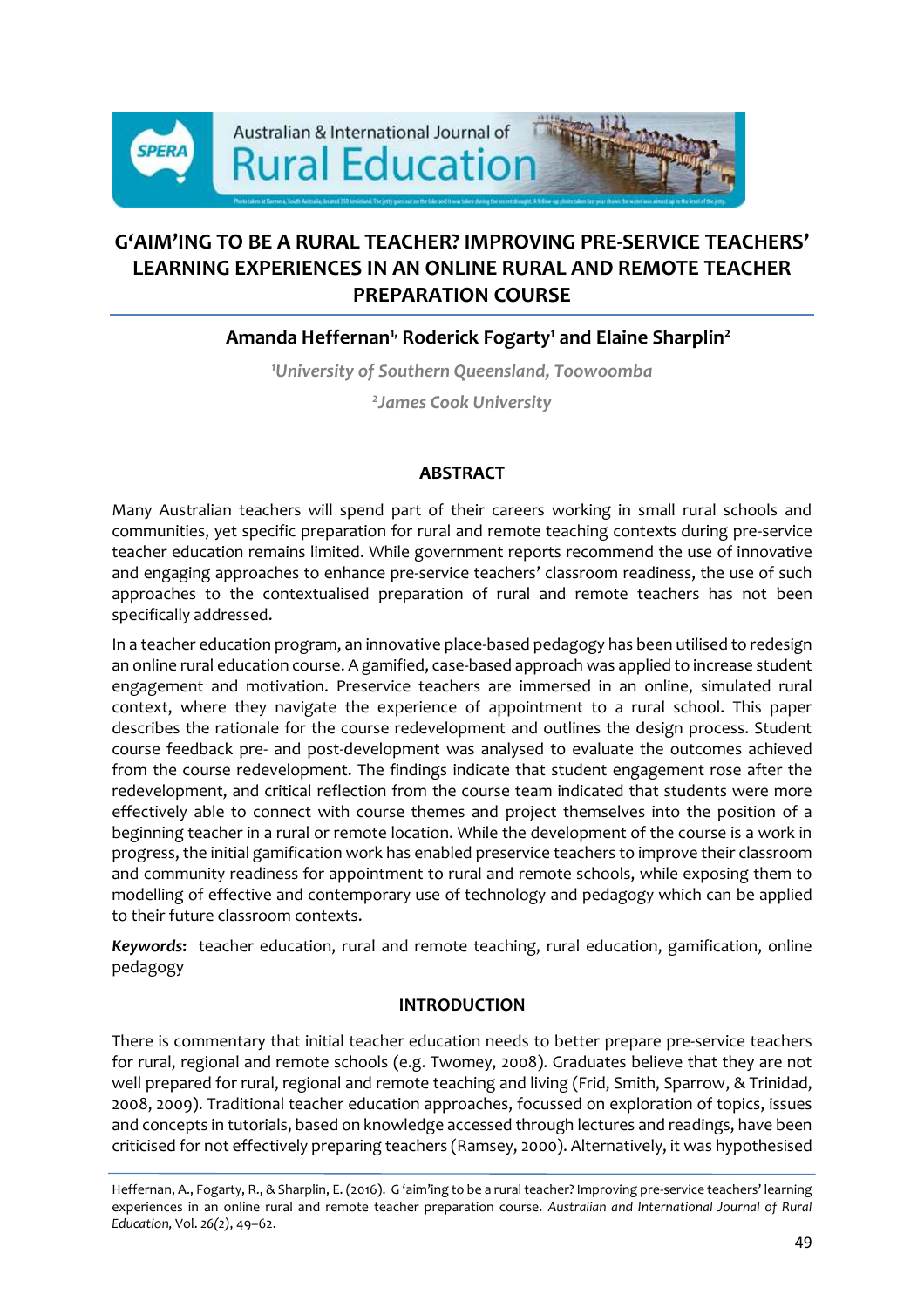

# **G'AIM'ING TO BE A RURAL TEACHER? IMPROVING PRE-SERVICE TEACHERS' LEARNING EXPERIENCES IN AN ONLINE RURAL AND REMOTE TEACHER PREPARATION COURSE**

## **Amanda Heffernan1, Roderick Fogarty<sup>1</sup> and Elaine Sharplin<sup>2</sup>**

*<sup>1</sup>University of Southern Queensland, Toowoomba*

*2 James Cook University*

## **ABSTRACT**

Many Australian teachers will spend part of their careers working in small rural schools and communities, yet specific preparation for rural and remote teaching contexts during pre-service teacher education remains limited. While government reports recommend the use of innovative and engaging approaches to enhance pre-service teachers' classroom readiness, the use of such approaches to the contextualised preparation of rural and remote teachers has not been specifically addressed.

In a teacher education program, an innovative place-based pedagogy has been utilised to redesign an online rural education course. A gamified, case-based approach was applied to increase student engagement and motivation. Preservice teachers are immersed in an online, simulated rural context, where they navigate the experience of appointment to a rural school. This paper describes the rationale for the course redevelopment and outlines the design process. Student course feedback pre- and post-development was analysed to evaluate the outcomes achieved from the course redevelopment. The findings indicate that student engagement rose after the redevelopment, and critical reflection from the course team indicated that students were more effectively able to connect with course themes and project themselves into the position of a beginning teacher in a rural or remote location. While the development of the course is a work in progress, the initial gamification work has enabled preservice teachers to improve their classroom and community readiness for appointment to rural and remote schools, while exposing them to modelling of effective and contemporary use of technology and pedagogy which can be applied to their future classroom contexts.

*Keywords***:** teacher education, rural and remote teaching, rural education, gamification, online pedagogy

## **INTRODUCTION**

There is commentary that initial teacher education needs to better prepare pre-service teachers for rural, regional and remote schools (e.g. Twomey, 2008). Graduates believe that they are not well prepared for rural, regional and remote teaching and living (Frid, Smith, Sparrow, & Trinidad, 2008, 2009). Traditional teacher education approaches, focussed on exploration of topics, issues and concepts in tutorials, based on knowledge accessed through lectures and readings, have been criticised for not effectively preparing teachers (Ramsey, 2000). Alternatively, it was hypothesised

Heffernan, A., Fogarty, R., & Sharplin, E. (2016). G 'aim'ing to be a rural teacher? Improving pre-service teachers' learning experiences in an online rural and remote teacher preparation course. *Australian and International Journal of Rural Education,* Vol. *26(2)*, 49–62.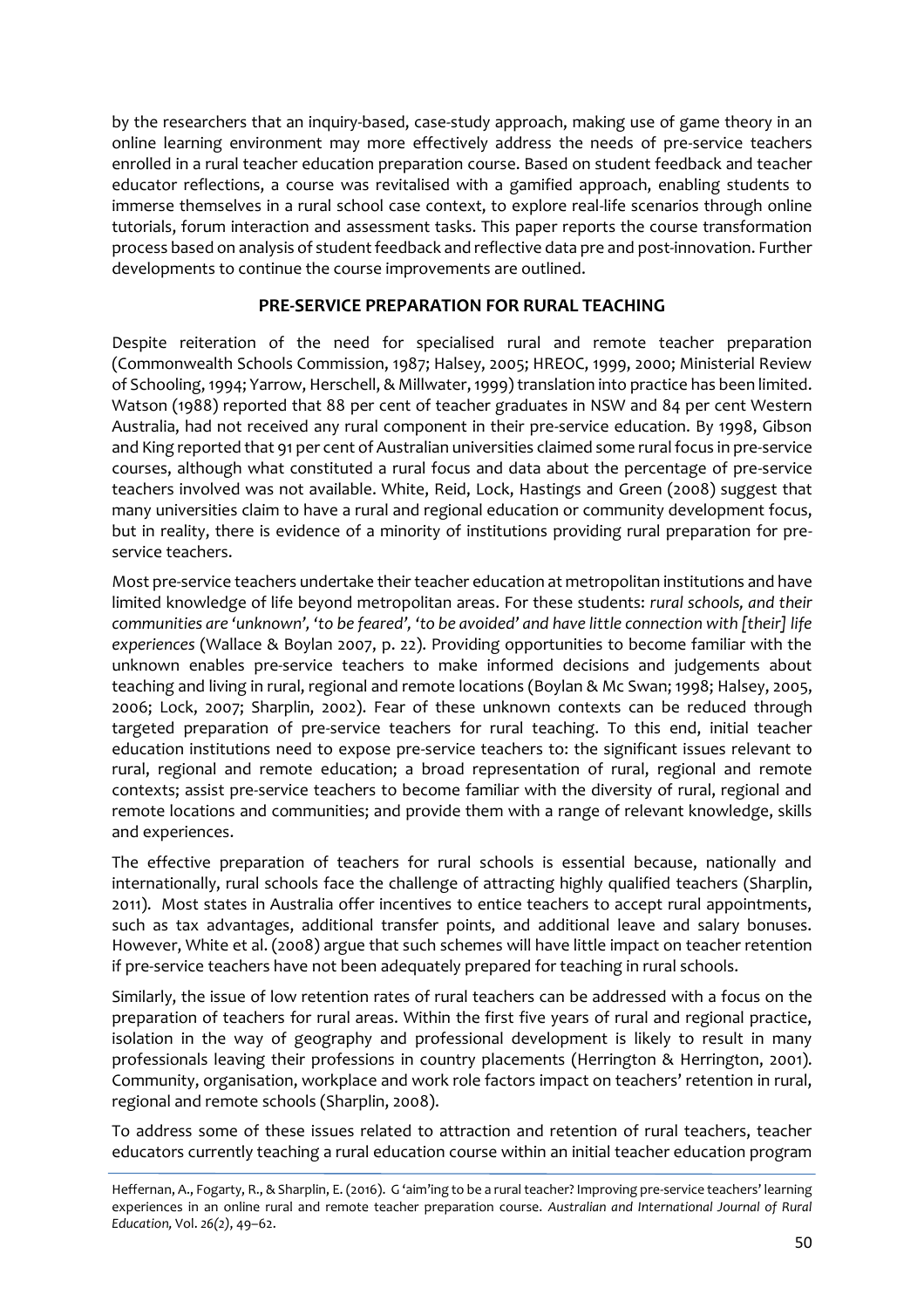by the researchers that an inquiry-based, case-study approach, making use of game theory in an online learning environment may more effectively address the needs of pre-service teachers enrolled in a rural teacher education preparation course. Based on student feedback and teacher educator reflections, a course was revitalised with a gamified approach, enabling students to immerse themselves in a rural school case context, to explore real-life scenarios through online tutorials, forum interaction and assessment tasks. This paper reports the course transformation process based on analysis of student feedback and reflective data pre and post-innovation. Further developments to continue the course improvements are outlined.

#### **PRE-SERVICE PREPARATION FOR RURAL TEACHING**

Despite reiteration of the need for specialised rural and remote teacher preparation (Commonwealth Schools Commission, 1987; Halsey, 2005; HREOC, 1999, 2000; Ministerial Review of Schooling, 1994; Yarrow, Herschell, & Millwater,1999) translation into practice has been limited. Watson (1988) reported that 88 per cent of teacher graduates in NSW and 84 per cent Western Australia, had not received any rural component in their pre-service education. By 1998, Gibson and King reported that 91 per cent of Australian universities claimed some rural focus in pre-service courses, although what constituted a rural focus and data about the percentage of pre-service teachers involved was not available. White, Reid, Lock, Hastings and Green (2008) suggest that many universities claim to have a rural and regional education or community development focus, but in reality, there is evidence of a minority of institutions providing rural preparation for preservice teachers.

Most pre-service teachers undertake their teacher education at metropolitan institutions and have limited knowledge of life beyond metropolitan areas. For these students: *rural schools, and their communities are 'unknown', 'to be feared', 'to be avoided' and have little connection with [their] life experiences* (Wallace & Boylan 2007, p. 22). Providing opportunities to become familiar with the unknown enables pre-service teachers to make informed decisions and judgements about teaching and living in rural, regional and remote locations (Boylan & Mc Swan; 1998; Halsey, 2005, 2006; Lock, 2007; Sharplin, 2002). Fear of these unknown contexts can be reduced through targeted preparation of pre-service teachers for rural teaching. To this end, initial teacher education institutions need to expose pre-service teachers to: the significant issues relevant to rural, regional and remote education; a broad representation of rural, regional and remote contexts; assist pre-service teachers to become familiar with the diversity of rural, regional and remote locations and communities; and provide them with a range of relevant knowledge, skills and experiences.

The effective preparation of teachers for rural schools is essential because, nationally and internationally, rural schools face the challenge of attracting highly qualified teachers (Sharplin, 2011). Most states in Australia offer incentives to entice teachers to accept rural appointments, such as tax advantages, additional transfer points, and additional leave and salary bonuses. However, White et al. (2008) argue that such schemes will have little impact on teacher retention if pre-service teachers have not been adequately prepared for teaching in rural schools.

Similarly, the issue of low retention rates of rural teachers can be addressed with a focus on the preparation of teachers for rural areas. Within the first five years of rural and regional practice, isolation in the way of geography and professional development is likely to result in many professionals leaving their professions in country placements (Herrington & Herrington, 2001). Community, organisation, workplace and work role factors impact on teachers' retention in rural, regional and remote schools (Sharplin, 2008).

To address some of these issues related to attraction and retention of rural teachers, teacher educators currently teaching a rural education course within an initial teacher education program

Heffernan, A., Fogarty, R., & Sharplin, E. (2016). G 'aim'ing to be a rural teacher? Improving pre-service teachers' learning experiences in an online rural and remote teacher preparation course. *Australian and International Journal of Rural Education,* Vol. *26(2)*, 49–62.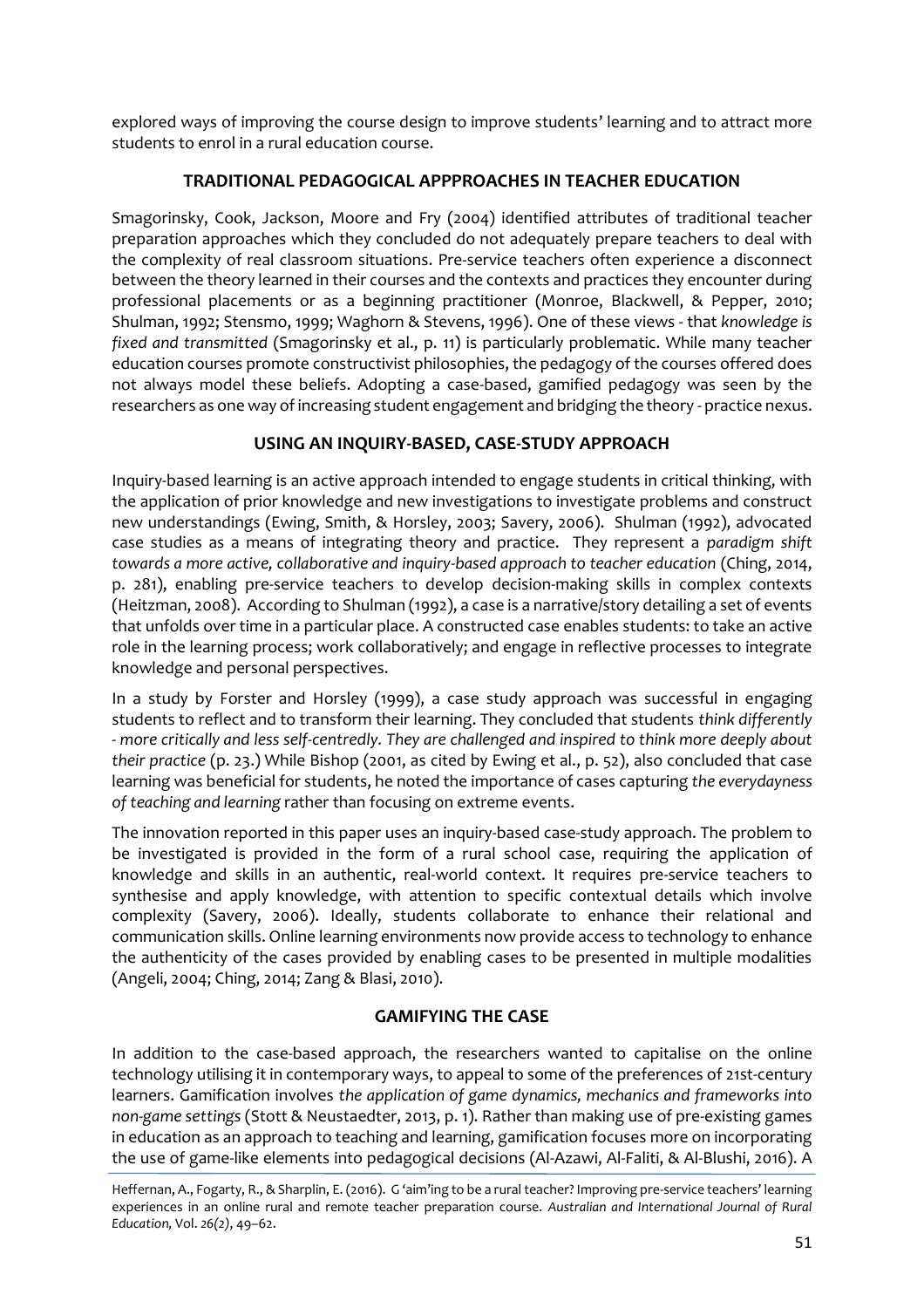explored ways of improving the course design to improve students' learning and to attract more students to enrol in a rural education course.

## **TRADITIONAL PEDAGOGICAL APPPROACHES IN TEACHER EDUCATION**

Smagorinsky, Cook, Jackson, Moore and Fry (2004) identified attributes of traditional teacher preparation approaches which they concluded do not adequately prepare teachers to deal with the complexity of real classroom situations. Pre-service teachers often experience a disconnect between the theory learned in their courses and the contexts and practices they encounter during professional placements or as a beginning practitioner (Monroe, Blackwell, & Pepper, 2010; Shulman, 1992; Stensmo, 1999; Waghorn & Stevens, 1996). One of these views - that *knowledge is fixed and transmitted* (Smagorinsky et al., p. 11) is particularly problematic. While many teacher education courses promote constructivist philosophies, the pedagogy of the courses offered does not always model these beliefs. Adopting a case-based, gamified pedagogy was seen by the researchers as one way of increasing student engagement and bridging the theory - practice nexus.

## **USING AN INQUIRY-BASED, CASE-STUDY APPROACH**

Inquiry-based learning is an active approach intended to engage students in critical thinking, with the application of prior knowledge and new investigations to investigate problems and construct new understandings (Ewing, Smith, & Horsley, 2003; Savery, 2006). Shulman (1992), advocated case studies as a means of integrating theory and practice. They represent a *paradigm shift towards a more active, collaborative and inquiry-based approach to teacher education* (Ching, 2014, p. 281), enabling pre-service teachers to develop decision-making skills in complex contexts (Heitzman, 2008). According to Shulman (1992), a case is a narrative/story detailing a set of events that unfolds over time in a particular place. A constructed case enables students: to take an active role in the learning process; work collaboratively; and engage in reflective processes to integrate knowledge and personal perspectives.

In a study by Forster and Horsley (1999), a case study approach was successful in engaging students to reflect and to transform their learning. They concluded that students *think differently - more critically and less self-centredly. They are challenged and inspired to think more deeply about their practice* (p. 23.) While Bishop (2001, as cited by Ewing et al., p. 52), also concluded that case learning was beneficial for students, he noted the importance of cases capturing *the everydayness of teaching and learning* rather than focusing on extreme events.

The innovation reported in this paper uses an inquiry-based case-study approach. The problem to be investigated is provided in the form of a rural school case, requiring the application of knowledge and skills in an authentic, real-world context. It requires pre-service teachers to synthesise and apply knowledge, with attention to specific contextual details which involve complexity (Savery, 2006). Ideally, students collaborate to enhance their relational and communication skills. Online learning environments now provide access to technology to enhance the authenticity of the cases provided by enabling cases to be presented in multiple modalities (Angeli, 2004; Ching, 2014; Zang & Blasi, 2010).

## **GAMIFYING THE CASE**

In addition to the case-based approach, the researchers wanted to capitalise on the online technology utilising it in contemporary ways, to appeal to some of the preferences of 21st-century learners. Gamification involves *the application of game dynamics, mechanics and frameworks into non-game settings* (Stott & Neustaedter, 2013, p. 1). Rather than making use of pre-existing games in education as an approach to teaching and learning, gamification focuses more on incorporating the use of game-like elements into pedagogical decisions (Al-Azawi, Al-Faliti, & Al-Blushi, 2016). A

Heffernan, A., Fogarty, R., & Sharplin, E. (2016). G 'aim'ing to be a rural teacher? Improving pre-service teachers' learning experiences in an online rural and remote teacher preparation course. *Australian and International Journal of Rural Education,* Vol. *26(2)*, 49–62.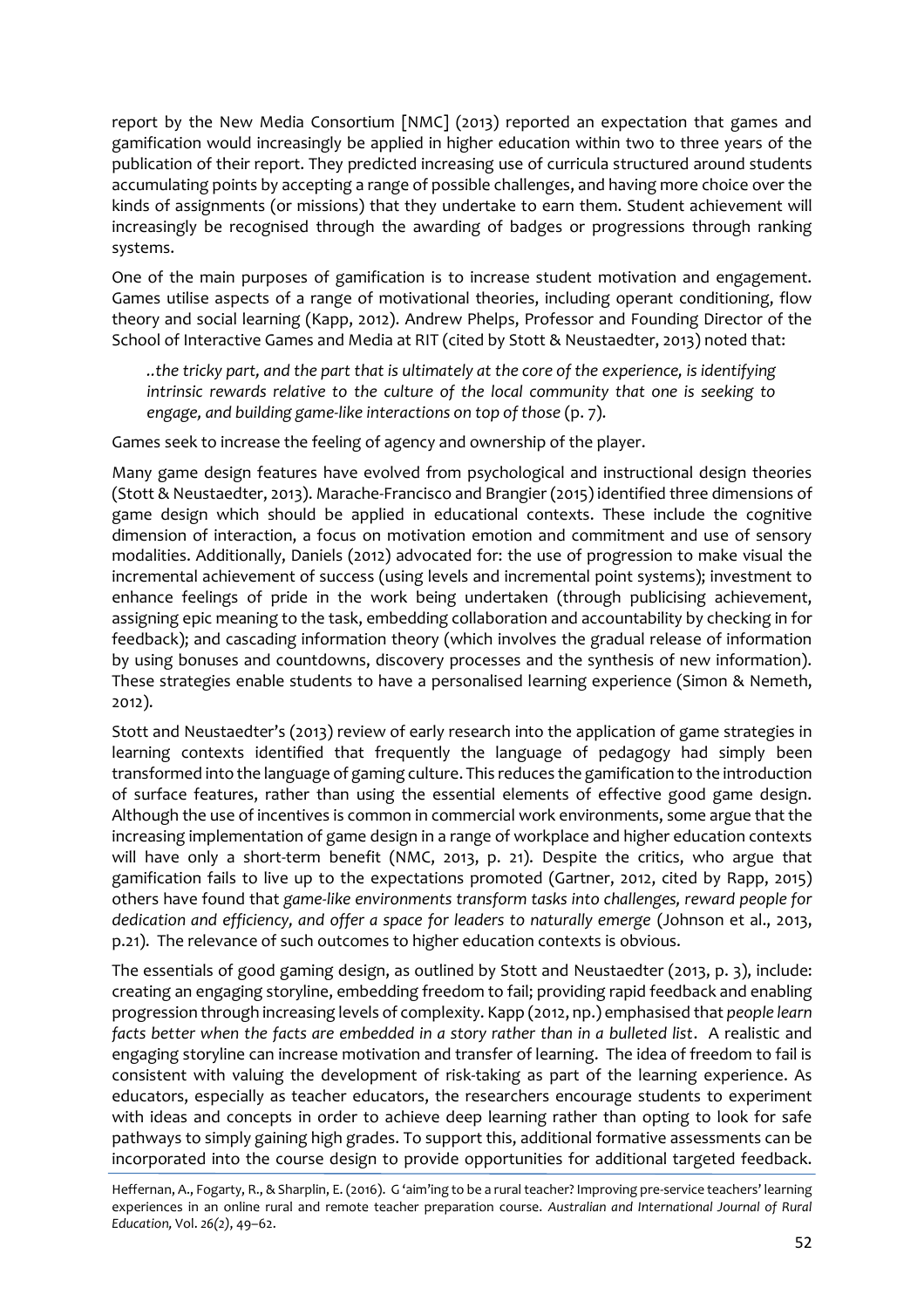report by the New Media Consortium [NMC] (2013) reported an expectation that games and gamification would increasingly be applied in higher education within two to three years of the publication of their report. They predicted increasing use of curricula structured around students accumulating points by accepting a range of possible challenges, and having more choice over the kinds of assignments (or missions) that they undertake to earn them. Student achievement will increasingly be recognised through the awarding of badges or progressions through ranking systems.

One of the main purposes of gamification is to increase student motivation and engagement. Games utilise aspects of a range of motivational theories, including operant conditioning, flow theory and social learning (Kapp, 2012). Andrew Phelps, Professor and Founding Director of the School of Interactive Games and Media at RIT (cited by Stott & Neustaedter, 2013) noted that:

*..the tricky part, and the part that is ultimately at the core of the experience, is identifying intrinsic rewards relative to the culture of the local community that one is seeking to engage, and building game-like interactions on top of those* (p. 7).

Games seek to increase the feeling of agency and ownership of the player.

Many game design features have evolved from psychological and instructional design theories (Stott & Neustaedter, 2013). Marache-Francisco and Brangier (2015) identified three dimensions of game design which should be applied in educational contexts. These include the cognitive dimension of interaction, a focus on motivation emotion and commitment and use of sensory modalities. Additionally, Daniels (2012) advocated for: the use of progression to make visual the incremental achievement of success (using levels and incremental point systems); investment to enhance feelings of pride in the work being undertaken (through publicising achievement, assigning epic meaning to the task, embedding collaboration and accountability by checking in for feedback); and cascading information theory (which involves the gradual release of information by using bonuses and countdowns, discovery processes and the synthesis of new information). These strategies enable students to have a personalised learning experience (Simon & Nemeth, 2012).

Stott and Neustaedter's (2013) review of early research into the application of game strategies in learning contexts identified that frequently the language of pedagogy had simply been transformed into the language of gaming culture. This reduces the gamification to the introduction of surface features, rather than using the essential elements of effective good game design. Although the use of incentives is common in commercial work environments, some argue that the increasing implementation of game design in a range of workplace and higher education contexts will have only a short-term benefit (NMC, 2013, p. 21). Despite the critics, who argue that gamification fails to live up to the expectations promoted (Gartner, 2012, cited by Rapp, 2015) others have found that *game-like environments transform tasks into challenges, reward people for dedication and efficiency, and offer a space for leaders to naturally emerge* (Johnson et al., 2013, p.21). The relevance of such outcomes to higher education contexts is obvious.

The essentials of good gaming design, as outlined by Stott and Neustaedter (2013, p. 3), include: creating an engaging storyline, embedding freedom to fail; providing rapid feedback and enabling progression through increasing levels of complexity. Kapp (2012, np.) emphasised that *people learn*  facts better when the facts are embedded in a story rather than in a bulleted list. A realistic and engaging storyline can increase motivation and transfer of learning. The idea of freedom to fail is consistent with valuing the development of risk-taking as part of the learning experience. As educators, especially as teacher educators, the researchers encourage students to experiment with ideas and concepts in order to achieve deep learning rather than opting to look for safe pathways to simply gaining high grades. To support this, additional formative assessments can be incorporated into the course design to provide opportunities for additional targeted feedback.

Heffernan, A., Fogarty, R., & Sharplin, E. (2016). G 'aim'ing to be a rural teacher? Improving pre-service teachers' learning experiences in an online rural and remote teacher preparation course. *Australian and International Journal of Rural Education,* Vol. *26(2)*, 49–62.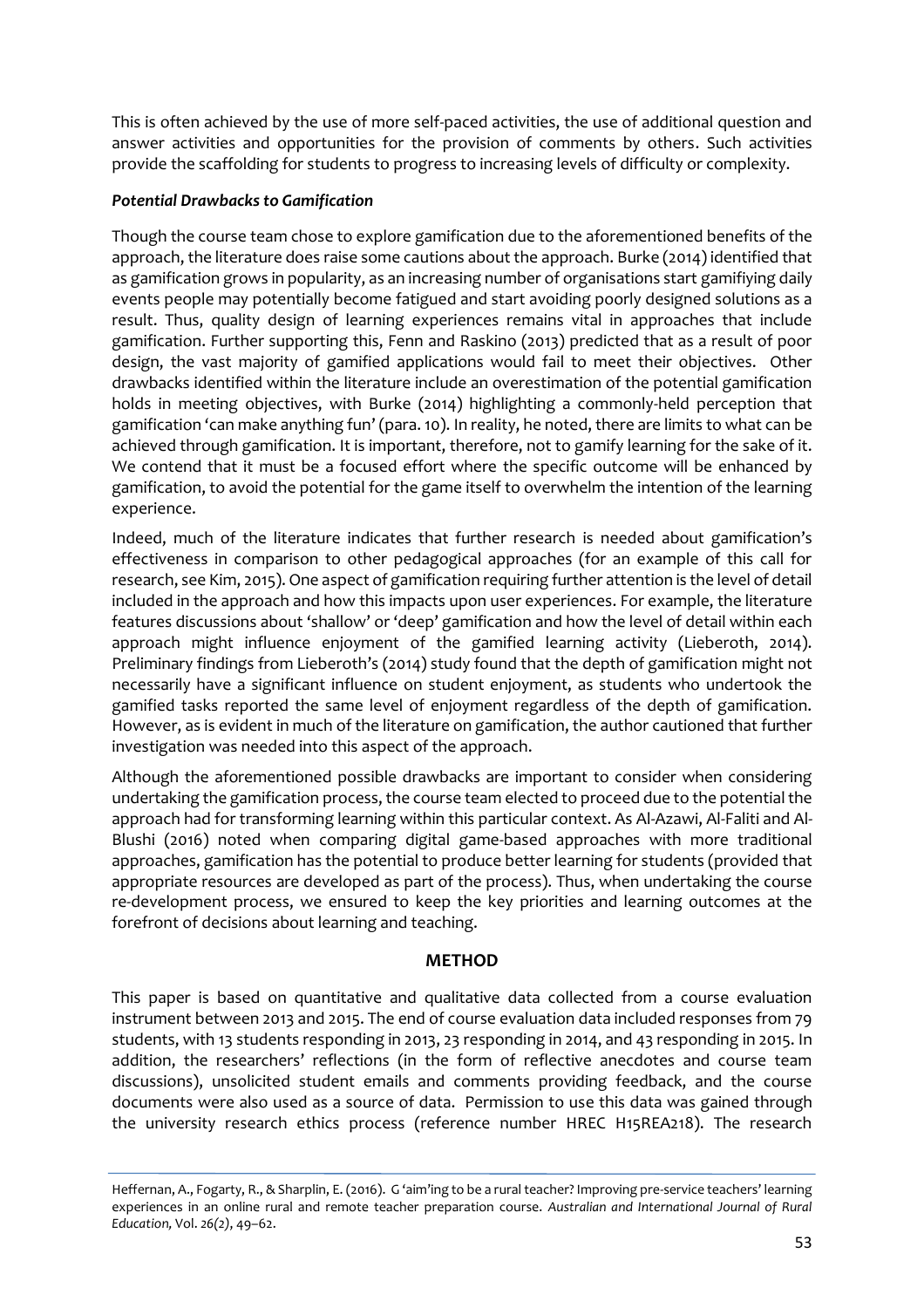This is often achieved by the use of more self-paced activities, the use of additional question and answer activities and opportunities for the provision of comments by others. Such activities provide the scaffolding for students to progress to increasing levels of difficulty or complexity.

#### *Potential Drawbacks to Gamification*

Though the course team chose to explore gamification due to the aforementioned benefits of the approach, the literature does raise some cautions about the approach. Burke (2014) identified that as gamification grows in popularity, as an increasing number of organisations start gamifiying daily events people may potentially become fatigued and start avoiding poorly designed solutions as a result. Thus, quality design of learning experiences remains vital in approaches that include gamification. Further supporting this, Fenn and Raskino (2013) predicted that as a result of poor design, the vast majority of gamified applications would fail to meet their objectives. Other drawbacks identified within the literature include an overestimation of the potential gamification holds in meeting objectives, with Burke (2014) highlighting a commonly-held perception that gamification 'can make anything fun' (para. 10). In reality, he noted, there are limits to what can be achieved through gamification. It is important, therefore, not to gamify learning for the sake of it. We contend that it must be a focused effort where the specific outcome will be enhanced by gamification, to avoid the potential for the game itself to overwhelm the intention of the learning experience.

Indeed, much of the literature indicates that further research is needed about gamification's effectiveness in comparison to other pedagogical approaches (for an example of this call for research, see Kim, 2015). One aspect of gamification requiring further attention is the level of detail included in the approach and how this impacts upon user experiences. For example, the literature features discussions about 'shallow' or 'deep' gamification and how the level of detail within each approach might influence enjoyment of the gamified learning activity (Lieberoth, 2014). Preliminary findings from Lieberoth's (2014) study found that the depth of gamification might not necessarily have a significant influence on student enjoyment, as students who undertook the gamified tasks reported the same level of enjoyment regardless of the depth of gamification. However, as is evident in much of the literature on gamification, the author cautioned that further investigation was needed into this aspect of the approach.

Although the aforementioned possible drawbacks are important to consider when considering undertaking the gamification process, the course team elected to proceed due to the potential the approach had for transforming learning within this particular context. As Al-Azawi, Al-Faliti and Al-Blushi (2016) noted when comparing digital game-based approaches with more traditional approaches, gamification has the potential to produce better learning for students (provided that appropriate resources are developed as part of the process). Thus, when undertaking the course re-development process, we ensured to keep the key priorities and learning outcomes at the forefront of decisions about learning and teaching.

#### **METHOD**

This paper is based on quantitative and qualitative data collected from a course evaluation instrument between 2013 and 2015. The end of course evaluation data included responses from 79 students, with 13 students responding in 2013, 23 responding in 2014, and 43 responding in 2015. In addition, the researchers' reflections (in the form of reflective anecdotes and course team discussions), unsolicited student emails and comments providing feedback, and the course documents were also used as a source of data. Permission to use this data was gained through the university research ethics process (reference number HREC H15REA218). The research

Heffernan, A., Fogarty, R., & Sharplin, E. (2016). G 'aim'ing to be a rural teacher? Improving pre-service teachers' learning experiences in an online rural and remote teacher preparation course. *Australian and International Journal of Rural Education,* Vol. *26(2)*, 49–62.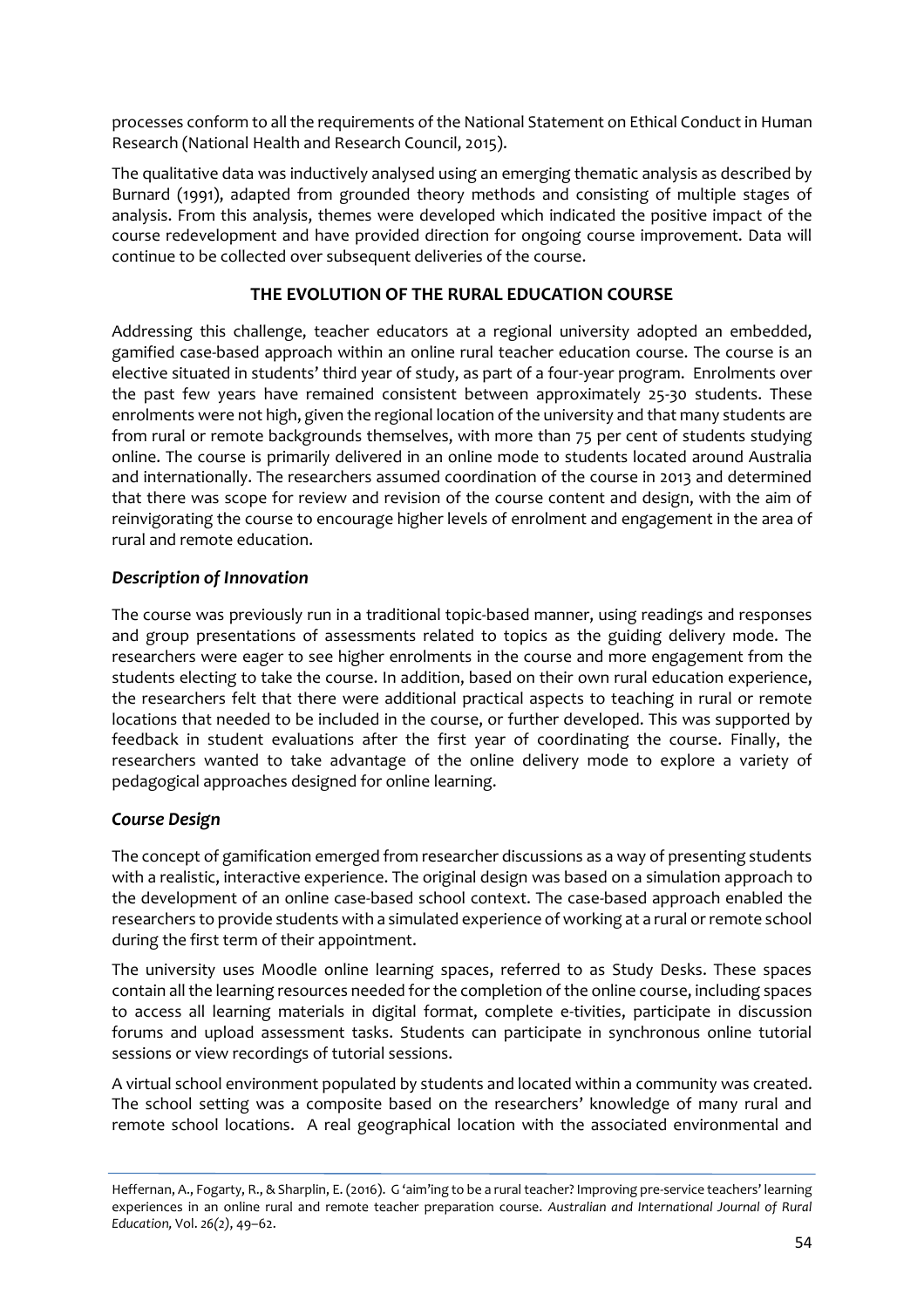processes conform to all the requirements of the National Statement on Ethical Conduct in Human Research (National Health and Research Council, 2015).

The qualitative data was inductively analysed using an emerging thematic analysis as described by Burnard (1991), adapted from grounded theory methods and consisting of multiple stages of analysis. From this analysis, themes were developed which indicated the positive impact of the course redevelopment and have provided direction for ongoing course improvement. Data will continue to be collected over subsequent deliveries of the course.

## **THE EVOLUTION OF THE RURAL EDUCATION COURSE**

Addressing this challenge, teacher educators at a regional university adopted an embedded, gamified case-based approach within an online rural teacher education course. The course is an elective situated in students' third year of study, as part of a four-year program. Enrolments over the past few years have remained consistent between approximately 25-30 students. These enrolments were not high, given the regional location of the university and that many students are from rural or remote backgrounds themselves, with more than 75 per cent of students studying online. The course is primarily delivered in an online mode to students located around Australia and internationally. The researchers assumed coordination of the course in 2013 and determined that there was scope for review and revision of the course content and design, with the aim of reinvigorating the course to encourage higher levels of enrolment and engagement in the area of rural and remote education.

#### *Description of Innovation*

The course was previously run in a traditional topic-based manner, using readings and responses and group presentations of assessments related to topics as the guiding delivery mode. The researchers were eager to see higher enrolments in the course and more engagement from the students electing to take the course. In addition, based on their own rural education experience, the researchers felt that there were additional practical aspects to teaching in rural or remote locations that needed to be included in the course, or further developed. This was supported by feedback in student evaluations after the first year of coordinating the course. Finally, the researchers wanted to take advantage of the online delivery mode to explore a variety of pedagogical approaches designed for online learning.

## *Course Design*

The concept of gamification emerged from researcher discussions as a way of presenting students with a realistic, interactive experience. The original design was based on a simulation approach to the development of an online case-based school context. The case-based approach enabled the researchers to provide students with a simulated experience of working at a rural or remote school during the first term of their appointment.

The university uses Moodle online learning spaces, referred to as Study Desks. These spaces contain all the learning resources needed for the completion of the online course, including spaces to access all learning materials in digital format, complete e-tivities, participate in discussion forums and upload assessment tasks. Students can participate in synchronous online tutorial sessions or view recordings of tutorial sessions.

A virtual school environment populated by students and located within a community was created. The school setting was a composite based on the researchers' knowledge of many rural and remote school locations. A real geographical location with the associated environmental and

Heffernan, A., Fogarty, R., & Sharplin, E. (2016). G 'aim'ing to be a rural teacher? Improving pre-service teachers' learning experiences in an online rural and remote teacher preparation course. *Australian and International Journal of Rural Education,* Vol. *26(2)*, 49–62.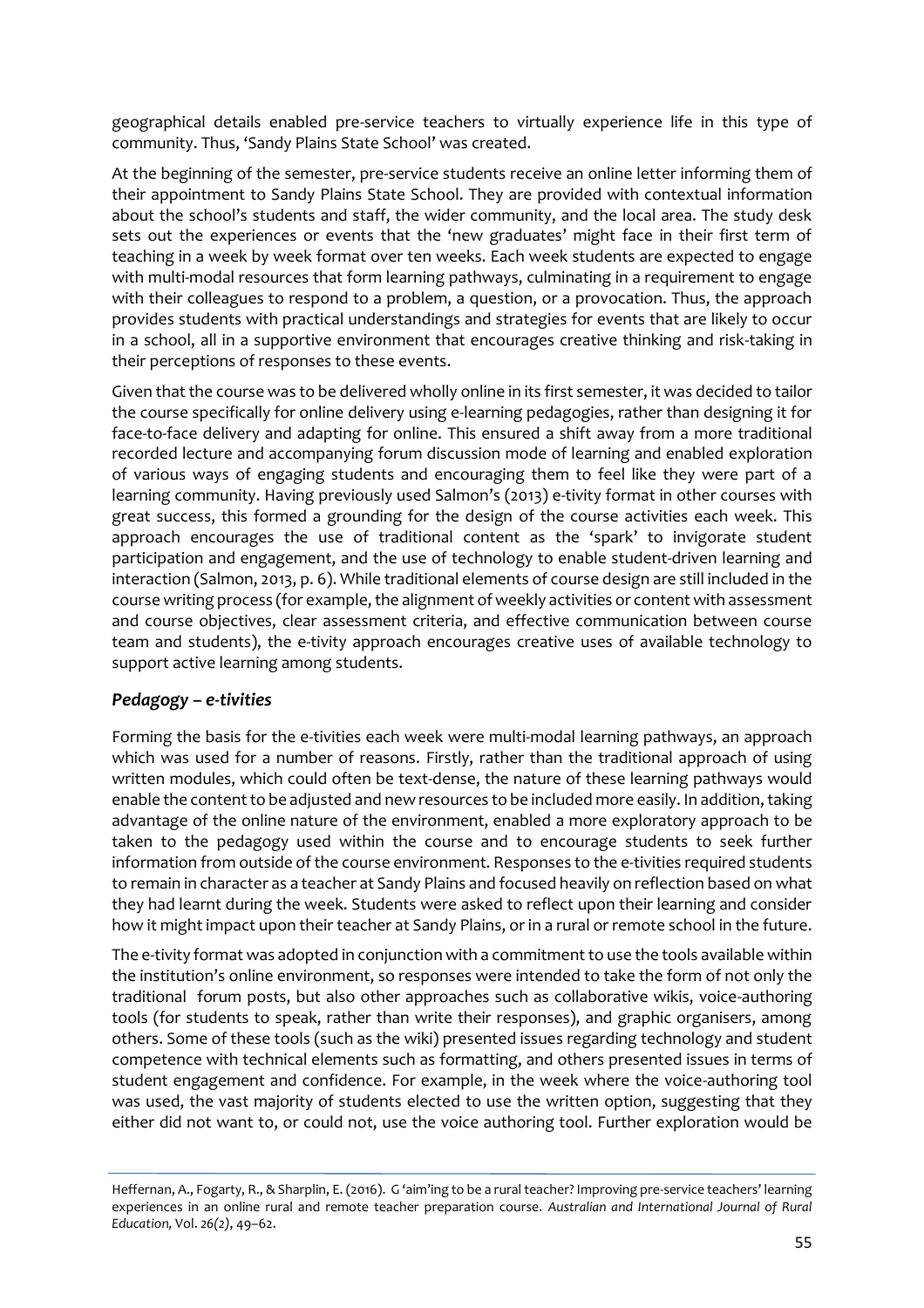geographical details enabled pre-service teachers to virtually experience life in this type of community. Thus, 'Sandy Plains State School' was created.

At the beginning of the semester, pre-service students receive an online letter informing them of their appointment to Sandy Plains State School. They are provided with contextual information about the school's students and staff, the wider community, and the local area. The study desk sets out the experiences or events that the 'new graduates' might face in their first term of teaching in a week by week format over ten weeks. Each week students are expected to engage with multi-modal resources that form learning pathways, culminating in a requirement to engage with their colleagues to respond to a problem, a question, or a provocation. Thus, the approach provides students with practical understandings and strategies for events that are likely to occur in a school, all in a supportive environment that encourages creative thinking and risk-taking in their perceptions of responses to these events.

Given that the course was to be delivered wholly online in its first semester, it was decided to tailor the course specifically for online delivery using e-learning pedagogies, rather than designing it for face-to-face delivery and adapting for online. This ensured a shift away from a more traditional recorded lecture and accompanying forum discussion mode of learning and enabled exploration of various ways of engaging students and encouraging them to feel like they were part of a learning community. Having previously used Salmon's (2013) e-tivity format in other courses with great success, this formed a grounding for the design of the course activities each week. This approach encourages the use of traditional content as the 'spark' to invigorate student participation and engagement, and the use of technology to enable student-driven learning and interaction (Salmon, 2013, p. 6). While traditional elements of course design are still included in the course writing process (for example, the alignment of weekly activities or content with assessment and course objectives, clear assessment criteria, and effective communication between course team and students), the e-tivity approach encourages creative uses of available technology to support active learning among students.

## *Pedagogy – e-tivities*

Forming the basis for the e-tivities each week were multi-modal learning pathways, an approach which was used for a number of reasons. Firstly, rather than the traditional approach of using written modules, which could often be text-dense, the nature of these learning pathways would enable the content to be adjusted and new resources to be included more easily. In addition, taking advantage of the online nature of the environment, enabled a more exploratory approach to be taken to the pedagogy used within the course and to encourage students to seek further information from outside of the course environment. Responses to the e-tivities required students to remain in character as a teacher at Sandy Plains and focused heavily on reflection based on what they had learnt during the week. Students were asked to reflect upon their learning and consider how it might impact upon their teacher at Sandy Plains, or in a rural or remote school in the future.

The e-tivity format was adopted in conjunction with a commitment to use the tools available within the institution's online environment, so responses were intended to take the form of not only the traditional forum posts, but also other approaches such as collaborative wikis, voice-authoring tools (for students to speak, rather than write their responses), and graphic organisers, among others. Some of these tools (such as the wiki) presented issues regarding technology and student competence with technical elements such as formatting, and others presented issues in terms of student engagement and confidence. For example, in the week where the voice-authoring tool was used, the vast majority of students elected to use the written option, suggesting that they either did not want to, or could not, use the voice authoring tool. Further exploration would be

Heffernan, A., Fogarty, R., & Sharplin, E. (2016). G 'aim'ing to be a rural teacher? Improving pre-service teachers' learning experiences in an online rural and remote teacher preparation course. *Australian and International Journal of Rural Education,* Vol. *26(2)*, 49–62.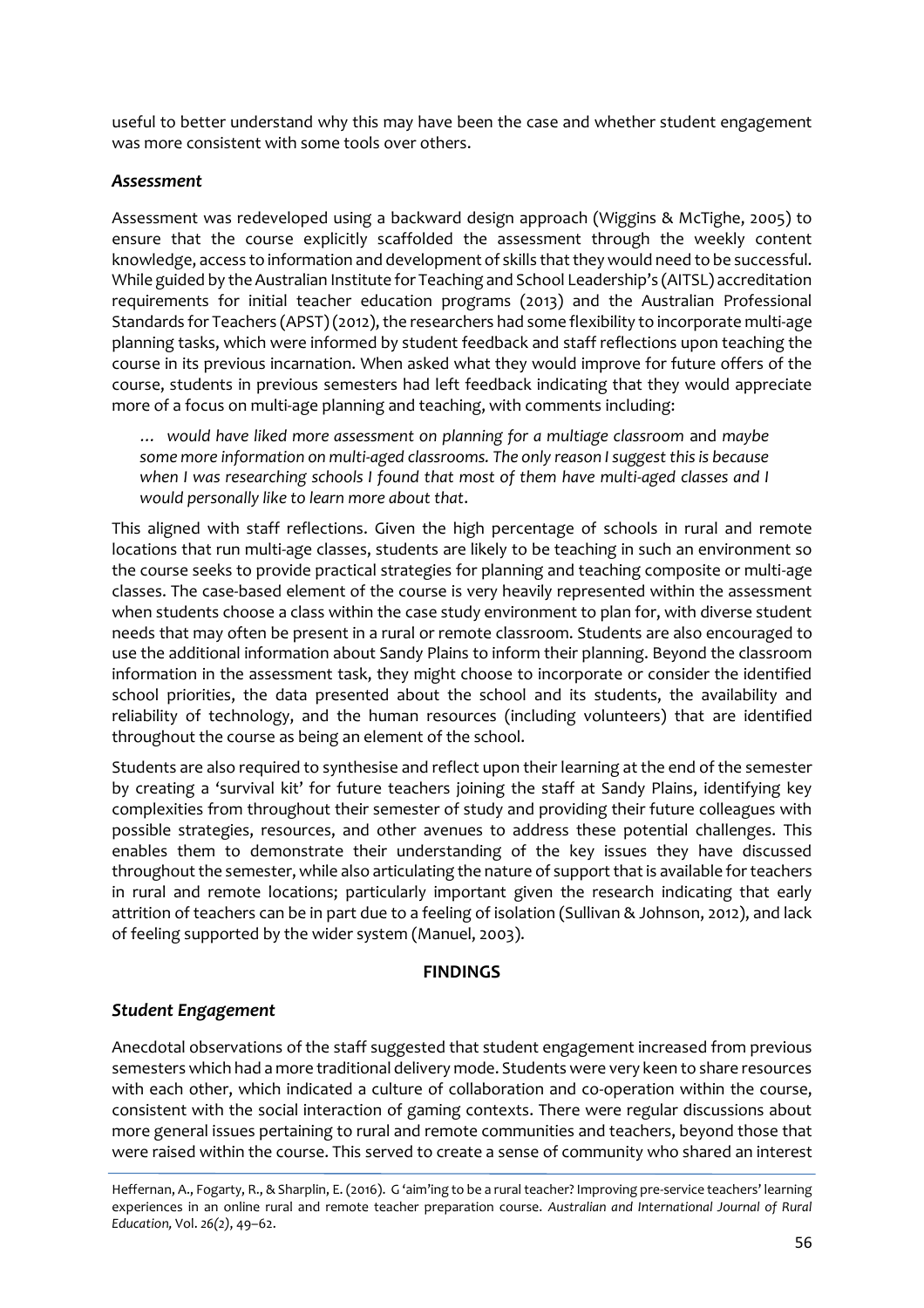useful to better understand why this may have been the case and whether student engagement was more consistent with some tools over others.

#### *Assessment*

Assessment was redeveloped using a backward design approach (Wiggins & McTighe, 2005) to ensure that the course explicitly scaffolded the assessment through the weekly content knowledge, access to information and development of skills that they would need to be successful. While guided by the Australian Institute for Teaching and School Leadership's (AITSL) accreditation requirements for initial teacher education programs (2013) and the Australian Professional Standards for Teachers (APST) (2012), the researchers had some flexibility to incorporate multi-age planning tasks, which were informed by student feedback and staff reflections upon teaching the course in its previous incarnation. When asked what they would improve for future offers of the course, students in previous semesters had left feedback indicating that they would appreciate more of a focus on multi-age planning and teaching, with comments including:

*… would have liked more assessment on planning for a multiage classroom* and *maybe some more information on multi-aged classrooms. The only reason I suggest this is because when I was researching schools I found that most of them have multi-aged classes and I would personally like to learn more about that*.

This aligned with staff reflections. Given the high percentage of schools in rural and remote locations that run multi-age classes, students are likely to be teaching in such an environment so the course seeks to provide practical strategies for planning and teaching composite or multi-age classes. The case-based element of the course is very heavily represented within the assessment when students choose a class within the case study environment to plan for, with diverse student needs that may often be present in a rural or remote classroom. Students are also encouraged to use the additional information about Sandy Plains to inform their planning. Beyond the classroom information in the assessment task, they might choose to incorporate or consider the identified school priorities, the data presented about the school and its students, the availability and reliability of technology, and the human resources (including volunteers) that are identified throughout the course as being an element of the school.

Students are also required to synthesise and reflect upon their learning at the end of the semester by creating a 'survival kit' for future teachers joining the staff at Sandy Plains, identifying key complexities from throughout their semester of study and providing their future colleagues with possible strategies, resources, and other avenues to address these potential challenges. This enables them to demonstrate their understanding of the key issues they have discussed throughout the semester, while also articulating the nature of support that is available for teachers in rural and remote locations; particularly important given the research indicating that early attrition of teachers can be in part due to a feeling of isolation (Sullivan & Johnson, 2012), and lack of feeling supported by the wider system (Manuel, 2003).

#### **FINDINGS**

#### *Student Engagement*

Anecdotal observations of the staff suggested that student engagement increased from previous semesters which had a more traditional delivery mode. Students were very keen to share resources with each other, which indicated a culture of collaboration and co-operation within the course, consistent with the social interaction of gaming contexts. There were regular discussions about more general issues pertaining to rural and remote communities and teachers, beyond those that were raised within the course. This served to create a sense of community who shared an interest

Heffernan, A., Fogarty, R., & Sharplin, E. (2016). G 'aim'ing to be a rural teacher? Improving pre-service teachers' learning experiences in an online rural and remote teacher preparation course. *Australian and International Journal of Rural Education,* Vol. *26(2)*, 49–62.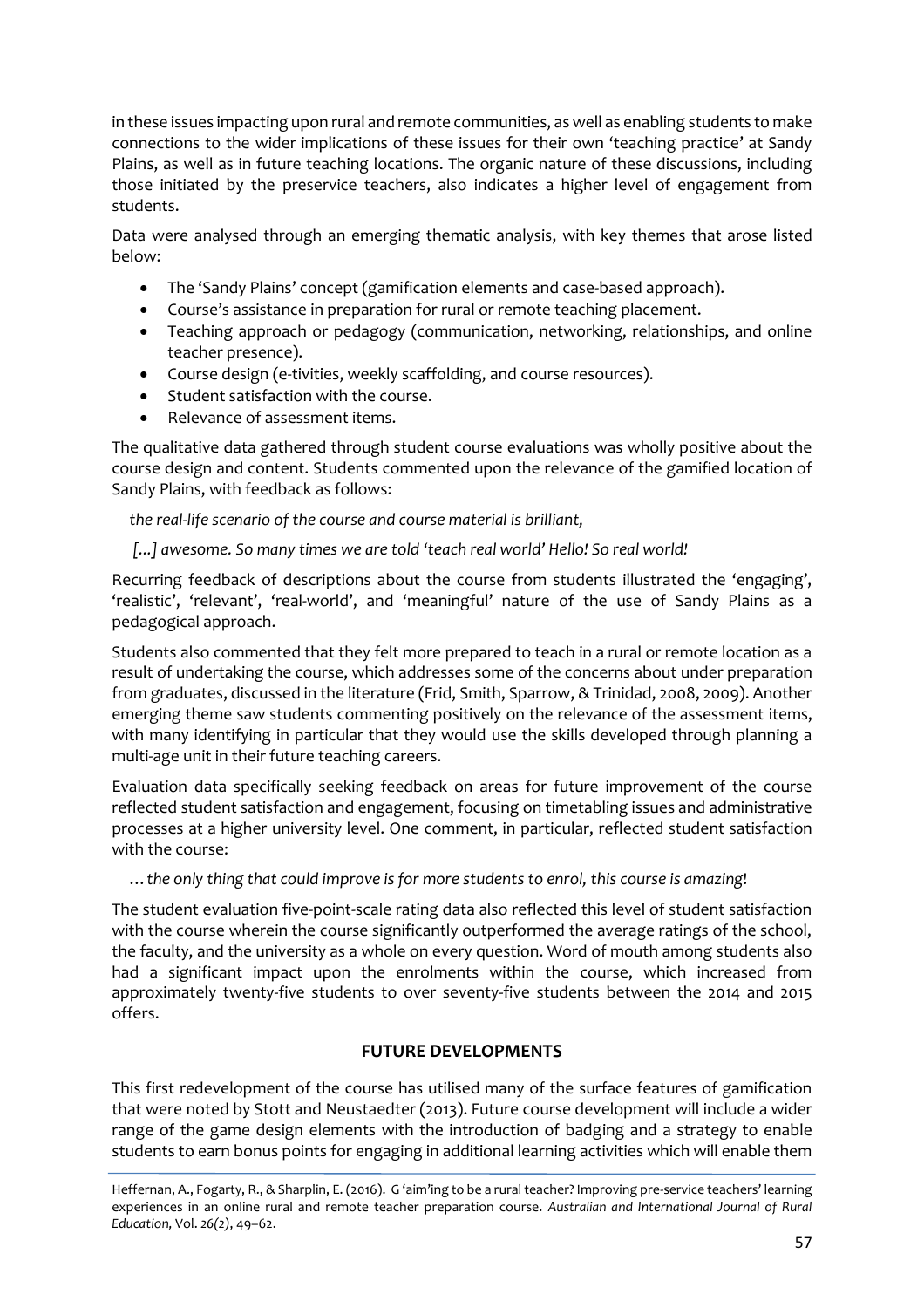in these issues impacting upon rural and remote communities, as well as enabling students to make connections to the wider implications of these issues for their own 'teaching practice' at Sandy Plains, as well as in future teaching locations. The organic nature of these discussions, including those initiated by the preservice teachers, also indicates a higher level of engagement from students.

Data were analysed through an emerging thematic analysis, with key themes that arose listed below:

- The 'Sandy Plains' concept (gamification elements and case-based approach).
- Course's assistance in preparation for rural or remote teaching placement.
- Teaching approach or pedagogy (communication, networking, relationships, and online teacher presence).
- Course design (e-tivities, weekly scaffolding, and course resources).
- Student satisfaction with the course.
- Relevance of assessment items.

The qualitative data gathered through student course evaluations was wholly positive about the course design and content. Students commented upon the relevance of the gamified location of Sandy Plains, with feedback as follows:

*the real-life scenario of the course and course material is brilliant,*

*[...] awesome. So many times we are told 'teach real world' Hello! So real world!*

Recurring feedback of descriptions about the course from students illustrated the 'engaging', 'realistic', 'relevant', 'real-world', and 'meaningful' nature of the use of Sandy Plains as a pedagogical approach.

Students also commented that they felt more prepared to teach in a rural or remote location as a result of undertaking the course, which addresses some of the concerns about under preparation from graduates, discussed in the literature (Frid, Smith, Sparrow, & Trinidad, 2008, 2009). Another emerging theme saw students commenting positively on the relevance of the assessment items, with many identifying in particular that they would use the skills developed through planning a multi-age unit in their future teaching careers.

Evaluation data specifically seeking feedback on areas for future improvement of the course reflected student satisfaction and engagement, focusing on timetabling issues and administrative processes at a higher university level. One comment, in particular, reflected student satisfaction with the course:

…*the only thing that could improve is for more students to enrol, this course is amazing*!

The student evaluation five-point-scale rating data also reflected this level of student satisfaction with the course wherein the course significantly outperformed the average ratings of the school, the faculty, and the university as a whole on every question. Word of mouth among students also had a significant impact upon the enrolments within the course, which increased from approximately twenty-five students to over seventy-five students between the 2014 and 2015 offers.

## **FUTURE DEVELOPMENTS**

This first redevelopment of the course has utilised many of the surface features of gamification that were noted by Stott and Neustaedter (2013). Future course development will include a wider range of the game design elements with the introduction of badging and a strategy to enable students to earn bonus points for engaging in additional learning activities which will enable them

Heffernan, A., Fogarty, R., & Sharplin, E. (2016). G 'aim'ing to be a rural teacher? Improving pre-service teachers' learning experiences in an online rural and remote teacher preparation course. *Australian and International Journal of Rural Education,* Vol. *26(2)*, 49–62.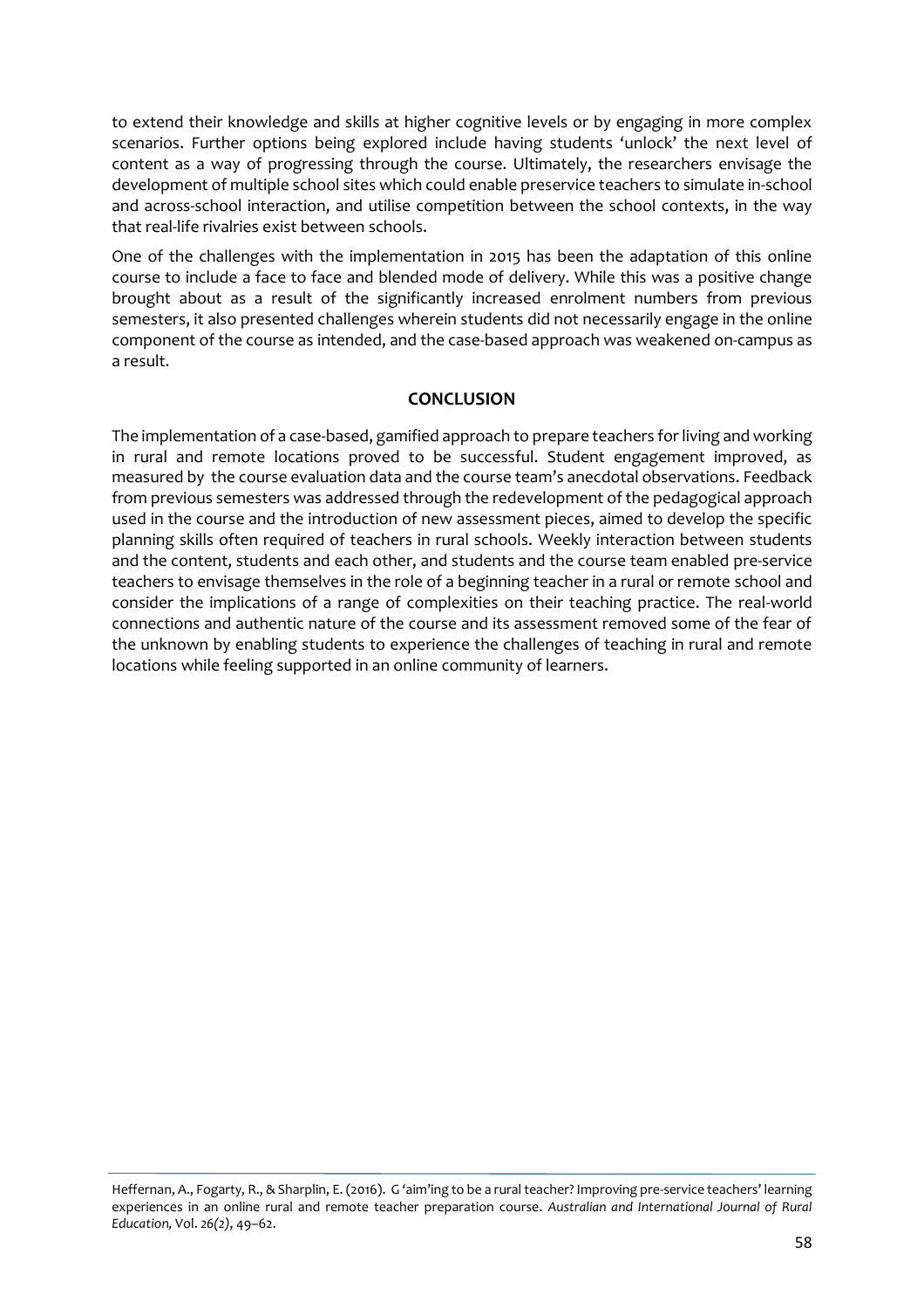to extend their knowledge and skills at higher cognitive levels or by engaging in more complex scenarios. Further options being explored include having students 'unlock' the next level of content as a way of progressing through the course. Ultimately, the researchers envisage the development of multiple school sites which could enable preservice teachers to simulate in-school and across-school interaction, and utilise competition between the school contexts, in the way that real-life rivalries exist between schools.

One of the challenges with the implementation in 2015 has been the adaptation of this online course to include a face to face and blended mode of delivery. While this was a positive change brought about as a result of the significantly increased enrolment numbers from previous semesters, it also presented challenges wherein students did not necessarily engage in the online component of the course as intended, and the case-based approach was weakened on-campus as a result.

#### **CONCLUSION**

The implementation of a case-based, gamified approach to prepare teachers for living and working in rural and remote locations proved to be successful. Student engagement improved, as measured by the course evaluation data and the course team's anecdotal observations. Feedback from previous semesters was addressed through the redevelopment of the pedagogical approach used in the course and the introduction of new assessment pieces, aimed to develop the specific planning skills often required of teachers in rural schools. Weekly interaction between students and the content, students and each other, and students and the course team enabled pre-service teachers to envisage themselves in the role of a beginning teacher in a rural or remote school and consider the implications of a range of complexities on their teaching practice. The real-world connections and authentic nature of the course and its assessment removed some of the fear of the unknown by enabling students to experience the challenges of teaching in rural and remote locations while feeling supported in an online community of learners.

Heffernan, A., Fogarty, R., & Sharplin, E. (2016). G 'aim'ing to be a rural teacher? Improving pre-service teachers' learning experiences in an online rural and remote teacher preparation course. *Australian and International Journal of Rural Education,* Vol. *26(2)*, 49–62.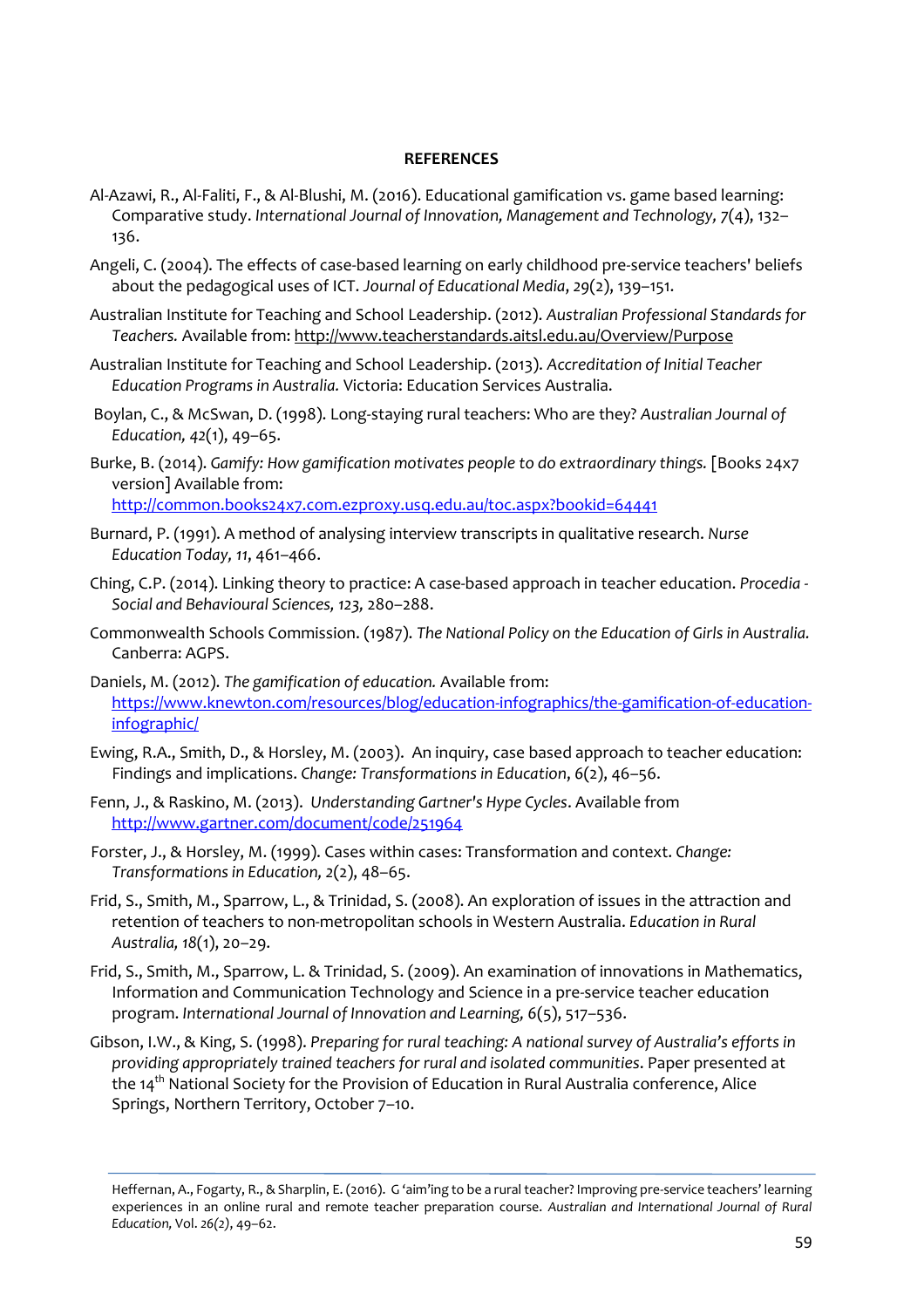#### **REFERENCES**

- Al-Azawi, R., Al-Faliti, F., & Al-Blushi, M. (2016). Educational gamification vs. game based learning: Comparative study. *International Journal of Innovation, Management and Technology, 7*(4), 132– 136.
- Angeli, C. (2004). The effects of case-based learning on early childhood pre-service teachers' beliefs about the pedagogical uses of ICT. *Journal of Educational Media*, *29*(2), 139–151.
- Australian Institute for Teaching and School Leadership. (2012). *Australian Professional Standards for Teachers.* Available from: <http://www.teacherstandards.aitsl.edu.au/Overview/Purpose>
- Australian Institute for Teaching and School Leadership. (2013). *Accreditation of Initial Teacher Education Programs in Australia.* Victoria: Education Services Australia.
- Boylan, C., & McSwan, D. (1998). Long-staying rural teachers: Who are they? *Australian Journal of Education, 42*(1), 49–65.
- Burke, B. (2014). *Gamify: How gamification motivates people to do extraordinary things.* [Books 24x7 version] Available from: <http://common.books24x7.com.ezproxy.usq.edu.au/toc.aspx?bookid=64441>
- Burnard, P. (1991). A method of analysing interview transcripts in qualitative research. *Nurse Education Today, 11*, 461–466.
- Ching, C.P. (2014). Linking theory to practice: A case-based approach in teacher education. *Procedia - Social and Behavioural Sciences, 123,* 280–288.
- Commonwealth Schools Commission. (1987). *The National Policy on the Education of Girls in Australia.* Canberra: AGPS.
- Daniels, M. (2012). *The gamification of education.* Available from: [https://www.knewton.com/resources/blog/education-infographics/the-gamification-of-education](https://www.knewton.com/resources/blog/education-infographics/the-gamification-of-education-infographic/)[infographic/](https://www.knewton.com/resources/blog/education-infographics/the-gamification-of-education-infographic/)
- Ewing, R.A., Smith, D., & Horsley, M. (2003). An inquiry, case based approach to teacher education: Findings and implications. *Change: Transformations in Education*, *6*(2), 46–56.
- Fenn, J., & Raskino, M. (2013). *Understanding Gartner's Hype Cycles*. Available from <http://www.gartner.com/document/code/251964>
- Forster, J., & Horsley, M. (1999). Cases within cases: Transformation and context. *Change: Transformations in Education, 2*(2), 48–65.
- Frid, S., Smith, M., Sparrow, L., & Trinidad, S. (2008). An exploration of issues in the attraction and retention of teachers to non-metropolitan schools in Western Australia. *Education in Rural Australia, 18*(1), 20–29.
- Frid, S., Smith, M., Sparrow, L. & Trinidad, S. (2009). An examination of innovations in Mathematics, Information and Communication Technology and Science in a pre-service teacher education program. *International Journal of Innovation and Learning, 6*(5), 517–536.
- Gibson, I.W., & King, S. (1998). *Preparing for rural teaching: A national survey of Australia's efforts in providing appropriately trained teachers for rural and isolated communities*. Paper presented at the 14th National Society for the Provision of Education in Rural Australia conference, Alice Springs, Northern Territory, October 7–10.

Heffernan, A., Fogarty, R., & Sharplin, E. (2016). G 'aim'ing to be a rural teacher? Improving pre-service teachers' learning experiences in an online rural and remote teacher preparation course. *Australian and International Journal of Rural Education,* Vol. *26(2)*, 49–62.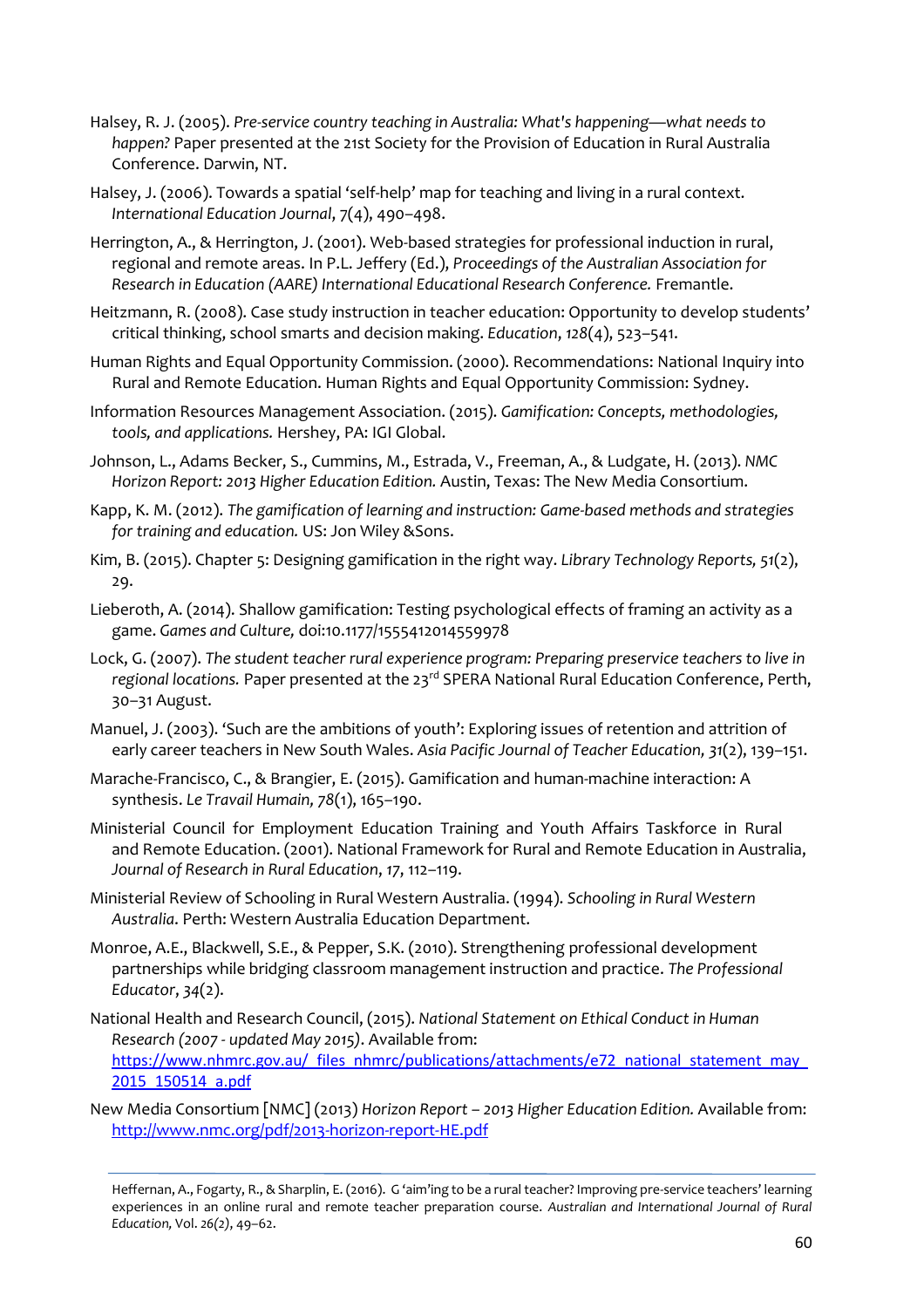- Halsey, R. J. (2005). *Pre-service country teaching in Australia: What's happening—what needs to happen?* Paper presented at the 21st Society for the Provision of Education in Rural Australia Conference. Darwin, NT.
- Halsey, J. (2006). Towards a spatial 'self-help' map for teaching and living in a rural context. *International Education Journal*, 7(4), 490–498.
- Herrington, A., & Herrington, J. (2001). Web-based strategies for professional induction in rural, regional and remote areas. In P.L. Jeffery (Ed.), *Proceedings of the Australian Association for Research in Education (AARE) International Educational Research Conference.* Fremantle.
- Heitzmann, R. (2008). Case study instruction in teacher education: Opportunity to develop students' critical thinking, school smarts and decision making. *Education*, *128*(4), 523–541.
- Human Rights and Equal Opportunity Commission. (2000). Recommendations: National Inquiry into Rural and Remote Education. Human Rights and Equal Opportunity Commission: Sydney.
- Information Resources Management Association. (2015). *Gamification: Concepts, methodologies, tools, and applications.* Hershey, PA: IGI Global.
- Johnson, L., Adams Becker, S., Cummins, M., Estrada, V., Freeman, A., & Ludgate, H. (2013). *NMC Horizon Report: 2013 Higher Education Edition.* Austin, Texas: The New Media Consortium.
- Kapp, K. M. (2012). *The gamification of learning and instruction: Game-based methods and strategies for training and education.* US: Jon Wiley &Sons.
- Kim, B. (2015). Chapter 5: Designing gamification in the right way. *Library Technology Reports, 51*(2), 29.
- Lieberoth, A. (2014). Shallow gamification: Testing psychological effects of framing an activity as a game. *Games and Culture,* doi:10.1177/1555412014559978
- Lock, G. (2007). *The student teacher rural experience program: Preparing preservice teachers to live in*  regional locations. Paper presented at the 23<sup>rd</sup> SPERA National Rural Education Conference, Perth, 30–31 August.
- Manuel, J. (2003). 'Such are the ambitions of youth': Exploring issues of retention and attrition of early career teachers in New South Wales. *Asia Pacific Journal of Teacher Education, 31*(2), 139–151.
- Marache-Francisco, C., & Brangier, E. (2015). Gamification and human-machine interaction: A synthesis. *Le Travail Humain, 78*(1), 165–190.
- Ministerial Council for Employment Education Training and Youth Affairs Taskforce in Rural and Remote Education. (2001). National Framework for Rural and Remote Education in Australia, *Journal of Research in Rural Education*, *17*, 112–119.
- Ministerial Review of Schooling in Rural Western Australia. (1994). *Schooling in Rural Western Australia*. Perth: Western Australia Education Department.
- Monroe, A.E., Blackwell, S.E., & Pepper, S.K. (2010). Strengthening professional development partnerships while bridging classroom management instruction and practice. *The Professional Educator*, *34*(2).
- National Health and Research Council, (2015). *National Statement on Ethical Conduct in Human Research (2007 - updated May 2015)*. Available from: [https://www.nhmrc.gov.au/\\_files\\_nhmrc/publications/attachments/e72\\_national\\_statement\\_may\\_](https://www.nhmrc.gov.au/_files_nhmrc/publications/attachments/e72_national_statement_may_2015_150514_a.pdf) [2015\\_150514\\_a.pdf](https://www.nhmrc.gov.au/_files_nhmrc/publications/attachments/e72_national_statement_may_2015_150514_a.pdf)
- New Media Consortium [NMC] (2013) *Horizon Report – 2013 Higher Education Edition.* Available from: <http://www.nmc.org/pdf/2013-horizon-report-HE.pdf>

Heffernan, A., Fogarty, R., & Sharplin, E. (2016). G 'aim'ing to be a rural teacher? Improving pre-service teachers' learning experiences in an online rural and remote teacher preparation course. *Australian and International Journal of Rural Education,* Vol. *26(2)*, 49–62.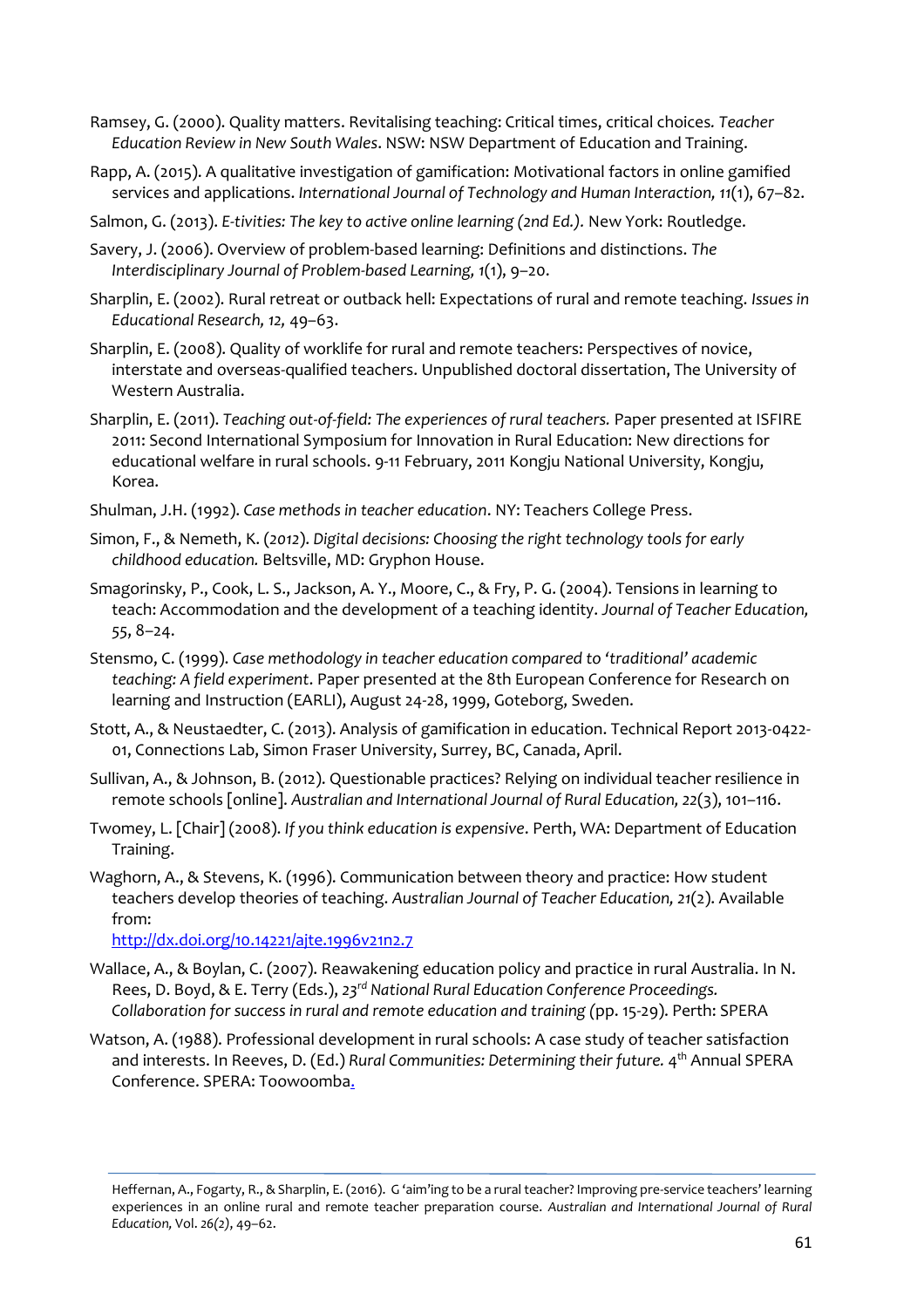- Ramsey, G. (2000). Quality matters. Revitalising teaching: Critical times, critical choices*. Teacher Education Review in New South Wales*. NSW: NSW Department of Education and Training.
- Rapp, A. (2015). A qualitative investigation of gamification: Motivational factors in online gamified services and applications. *International Journal of Technology and Human Interaction, 11*(1), 67–82.
- Salmon, G. (2013). *E-tivities: The key to active online learning (2nd Ed.).* New York: Routledge.
- Savery, J. (2006). Overview of problem-based learning: Definitions and distinctions. *The Interdisciplinary Journal of Problem-based Learning, 1*(1), 9–20.
- Sharplin, E. (2002). Rural retreat or outback hell: Expectations of rural and remote teaching. *Issues in Educational Research, 12,* 49–63.
- Sharplin, E. (2008). Quality of worklife for rural and remote teachers: Perspectives of novice, interstate and overseas-qualified teachers. Unpublished doctoral dissertation, The University of Western Australia.
- Sharplin, E. (2011). *Teaching out-of-field: The experiences of rural teachers.* Paper presented at ISFIRE 2011: Second International Symposium for Innovation in Rural Education: New directions for educational welfare in rural schools. 9-11 February, 2011 Kongju National University, Kongju, Korea.
- Shulman, J.H. (1992). *Case methods in teacher education*. NY: Teachers College Press.
- Simon, F., & Nemeth, K. (*2012*). *Digital decisions: Choosing the right technology tools for early childhood education.* Beltsville, MD: Gryphon House.
- [Smagorinsky, P., Cook, L. S., Jackson, A. Y., Moore, C., & Fry, P. G. \(2004\). Tensions in learning to](https://www.academia.edu/9155224/Smagorinsky_P._Cook_L._S._Jackson_A._Y._Moore_C._and_Fry_P._G._2004_._Tensions_in_learning_to_teach_Accommodation_and_the_development_of_a_teaching_identity._Journal_of_Teacher_Education_55_8-24)  [teach: Accommodation and the development of a teaching identity.](https://www.academia.edu/9155224/Smagorinsky_P._Cook_L._S._Jackson_A._Y._Moore_C._and_Fry_P._G._2004_._Tensions_in_learning_to_teach_Accommodation_and_the_development_of_a_teaching_identity._Journal_of_Teacher_Education_55_8-24) *[Journal of Teacher Education,](https://www.academia.edu/9155224/Smagorinsky_P._Cook_L._S._Jackson_A._Y._Moore_C._and_Fry_P._G._2004_._Tensions_in_learning_to_teach_Accommodation_and_the_development_of_a_teaching_identity._Journal_of_Teacher_Education_55_8-24)  [55](https://www.academia.edu/9155224/Smagorinsky_P._Cook_L._S._Jackson_A._Y._Moore_C._and_Fry_P._G._2004_._Tensions_in_learning_to_teach_Accommodation_and_the_development_of_a_teaching_identity._Journal_of_Teacher_Education_55_8-24)*, 8–[24.](https://www.academia.edu/9155224/Smagorinsky_P._Cook_L._S._Jackson_A._Y._Moore_C._and_Fry_P._G._2004_._Tensions_in_learning_to_teach_Accommodation_and_the_development_of_a_teaching_identity._Journal_of_Teacher_Education_55_8-24)
- Stensmo, C. (1999). *Case methodology in teacher education compared to 'traditional' academic teaching: A field experiment*. Paper presented at the 8th European Conference for Research on learning and Instruction (EARLI), August 24-28, 1999, Goteborg, Sweden.
- Stott, A., & Neustaedter, C. (2013). Analysis of gamification in education. Technical Report 2013-0422- 01, Connections Lab, Simon Fraser University, Surrey, BC, Canada, April.
- Sullivan, A., & Johnson, B. (2012). Questionable practices? Relying on individual teacher resilience in remote schools [online]. *Australian and International Journal of Rural Education, 22*(3), 101–116.
- Twomey, L. [Chair] (2008). *If you think education is expensive*. Perth, WA: Department of Education Training.
- Waghorn, A., & Stevens, K. (1996). Communication between theory and practice: How student teachers develop theories of teaching. *Australian Journal of Teacher Education, 21*(2). Available from:

<http://dx.doi.org/10.14221/ajte.1996v21n2.7>

- Wallace, A., & Boylan, C. (2007). Reawakening education policy and practice in rural Australia. In N. Rees, D. Boyd, & E. Terry (Eds.), *23rd National Rural Education Conference Proceedings. Collaboration for success in rural and remote education and training (*pp. 15-29). Perth: SPERA
- Watson, A. (1988). Professional development in rural schools: A case study of teacher satisfaction and interests. In Reeves, D. (Ed.) *Rural Communities: Determining their future.* 4<sup>th</sup> Annual SPERA Conference. SPERA: Toowoomba.

Heffernan, A., Fogarty, R., & Sharplin, E. (2016). G 'aim'ing to be a rural teacher? Improving pre-service teachers' learning experiences in an online rural and remote teacher preparation course. *Australian and International Journal of Rural Education,* Vol. *26(2)*, 49–62.